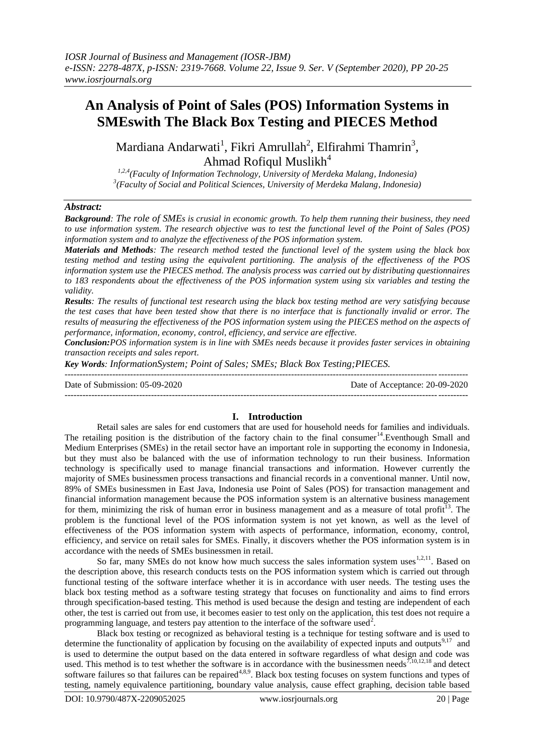## **An Analysis of Point of Sales (POS) Information Systems in SMEswith The Black Box Testing and PIECES Method**

Mardiana Andarwati<sup>1</sup>, Fikri Amrullah<sup>2</sup>, Elfirahmi Thamrin<sup>3</sup>, Ahmad Rofiqul Muslikh<sup>4</sup>

*1,2,4(Faculty of Information Technology, University of Merdeka Malang, Indonesia) 3 (Faculty of Social and Political Sciences, University of Merdeka Malang, Indonesia)*

## *Abstract:*

*Background: The role of SMEs is crusial in economic growth. To help them running their business, they need to use information system. The research objective was to test the functional level of the Point of Sales (POS) information system and to analyze the effectiveness of the POS information system.*

*Materials and Methods: The research method tested the functional level of the system using the black box testing method and testing using the equivalent partitioning. The analysis of the effectiveness of the POS information system use the PIECES method. The analysis process was carried out by distributing questionnaires to 183 respondents about the effectiveness of the POS information system using six variables and testing the validity.*

*Results: The results of functional test research using the black box testing method are very satisfying because the test cases that have been tested show that there is no interface that is functionally invalid or error. The results of measuring the effectiveness of the POS information system using the PIECES method on the aspects of performance, information, economy, control, efficiency, and service are effective.*

*Conclusion:POS information system is in line with SMEs needs because it provides faster services in obtaining transaction receipts and sales report.*

*Key Words: InformationSystem; Point of Sales; SMEs; Black Box Testing;PIECES.*

Date of Submission: 05-09-2020 Date of Acceptance: 20-09-2020 ---------------------------------------------------------------------------------------------------------------------------------------

# **I. Introduction**

Retail sales are sales for end customers that are used for household needs for families and individuals. The retailing position is the distribution of the factory chain to the final consumer $14$ . Eventhough Small and Medium Enterprises (SMEs) in the retail sector have an important role in supporting the economy in Indonesia, but they must also be balanced with the use of information technology to run their business. Information technology is specifically used to manage financial transactions and information. However currently the majority of SMEs businessmen process transactions and financial records in a conventional manner. Until now, 89% of SMEs businessmen in East Java, Indonesia use Point of Sales (POS) for transaction management and financial information management because the POS information system is an alternative business management for them, minimizing the risk of human error in business management and as a measure of total profit<sup>13</sup>. The problem is the functional level of the POS information system is not yet known, as well as the level of effectiveness of the POS information system with aspects of performance, information, economy, control, efficiency, and service on retail sales for SMEs. Finally, it discovers whether the POS information system is in accordance with the needs of SMEs businessmen in retail.

So far, many SMEs do not know how much success the sales information system uses<sup>1,2,11</sup>. Based on the description above, this research conducts tests on the POS information system which is carried out through functional testing of the software interface whether it is in accordance with user needs. The testing uses the black box testing method as a software testing strategy that focuses on functionality and aims to find errors through specification-based testing. This method is used because the design and testing are independent of each other, the test is carried out from use, it becomes easier to test only on the application, this test does not require a programming language, and testers pay attention to the interface of the software used<sup>2</sup>.

Black box testing or recognized as behavioral testing is a technique for testing software and is used to determine the functionality of application by focusing on the availability of expected inputs and outputs $9,17$  and is used to determine the output based on the data entered in software regardless of what design and code was used. This method is to test whether the software is in accordance with the businessmen needs<sup>7,10,12,18</sup> and detect software failures so that failures can be repaired<sup>4,8,9</sup>. Black box testing focuses on system functions and types of testing, namely equivalence partitioning, boundary value analysis, cause effect graphing, decision table based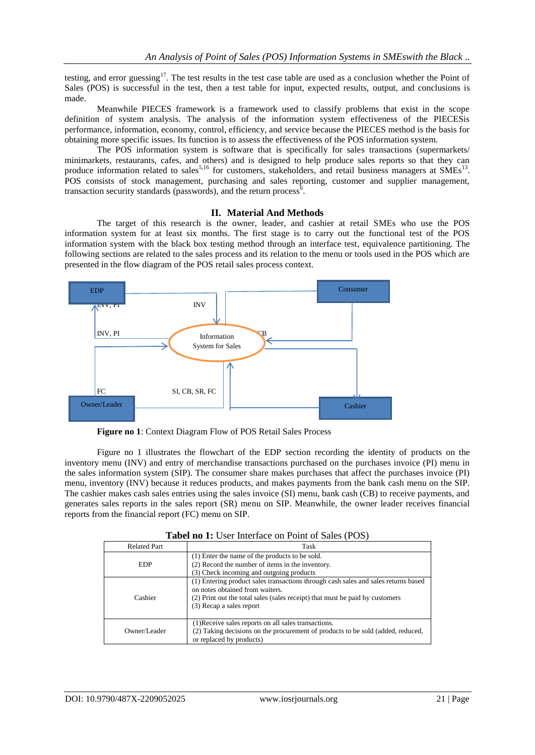testing, and error guessing<sup>17</sup>. The test results in the test case table are used as a conclusion whether the Point of Sales (POS) is successful in the test, then a test table for input, expected results, output, and conclusions is made.

Meanwhile PIECES framework is a framework used to classify problems that exist in the scope definition of system analysis. The analysis of the information system effectiveness of the PIECESis performance, information, economy, control, efficiency, and service because the PIECES method is the basis for obtaining more specific issues. Its function is to assess the effectiveness of the POS information system.

The POS information system is software that is specifically for sales transactions (supermarkets/ minimarkets, restaurants, cafes, and others) and is designed to help produce sales reports so that they can produce information related to sales<sup>5,16</sup> for customers, stakeholders, and retail business managers at SMEs<sup>13</sup>. POS consists of stock management, purchasing and sales reporting, customer and supplier management, transaction security standards (passwords), and the return process<sup> $\delta$ </sup>.

### **II. Material And Methods**

The target of this research is the owner, leader, and cashier at retail SMEs who use the POS information system for at least six months. The first stage is to carry out the functional test of the POS information system with the black box testing method through an interface test, equivalence partitioning. The following sections are related to the sales process and its relation to the menu or tools used in the POS which are presented in the flow diagram of the POS retail sales process context.



**Figure no 1**: Context Diagram Flow of POS Retail Sales Process

Figure no 1 illustrates the flowchart of the EDP section recording the identity of products on the inventory menu (INV) and entry of merchandise transactions purchased on the purchases invoice (PI) menu in the sales information system (SIP). The consumer share makes purchases that affect the purchases invoice (PI) menu, inventory (INV) because it reduces products, and makes payments from the bank cash menu on the SIP. The cashier makes cash sales entries using the sales invoice (SI) menu, bank cash (CB) to receive payments, and generates sales reports in the sales report (SR) menu on SIP. Meanwhile, the owner leader receives financial reports from the financial report (FC) menu on SIP.

| <b>Related Part</b> | Task                                                                                                                                                                                                                              |
|---------------------|-----------------------------------------------------------------------------------------------------------------------------------------------------------------------------------------------------------------------------------|
| EDP                 | (1) Enter the name of the products to be sold.<br>(2) Record the number of items in the inventory.<br>(3) Check incoming and outgoing products                                                                                    |
| Cashier             | (1) Entering product sales transactions through cash sales and sales returns based<br>on notes obtained from waiters.<br>(2) Print out the total sales (sales receipt) that must be paid by customers<br>(3) Recap a sales report |
| Owner/Leader        | (1) Receive sales reports on all sales transactions.<br>(2) Taking decisions on the procurement of products to be sold (added, reduced,<br>or replaced by products)                                                               |

**Tabel no 1:** User Interface on Point of Sales (POS)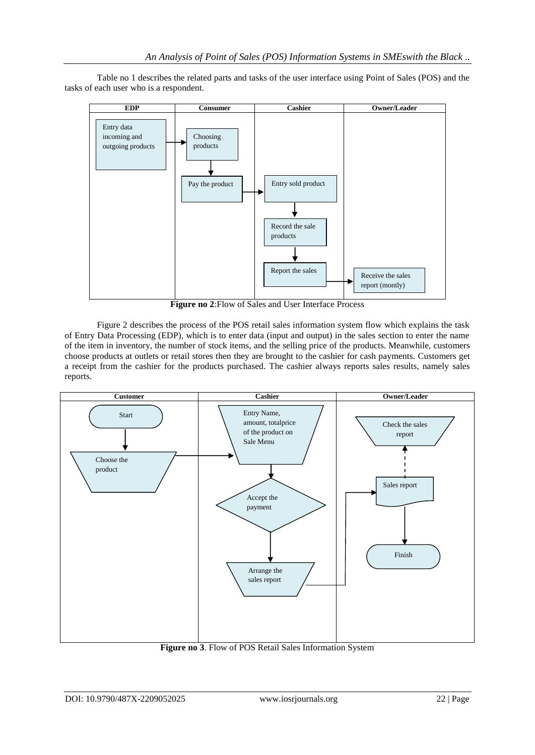Table no 1 describes the related parts and tasks of the user interface using Point of Sales (POS) and the tasks of each user who is a respondent.



**Figure no 2**:Flow of Sales and User Interface Process

Figure 2 describes the process of the POS retail sales information system flow which explains the task of Entry Data Processing (EDP), which is to enter data (input and output) in the sales section to enter the name of the item in inventory, the number of stock items, and the selling price of the products. Meanwhile, customers choose products at outlets or retail stores then they are brought to the cashier for cash payments. Customers get a receipt from the cashier for the products purchased. The cashier always reports sales results, namely sales reports.



**Figure no 3**. Flow of POS Retail Sales Information System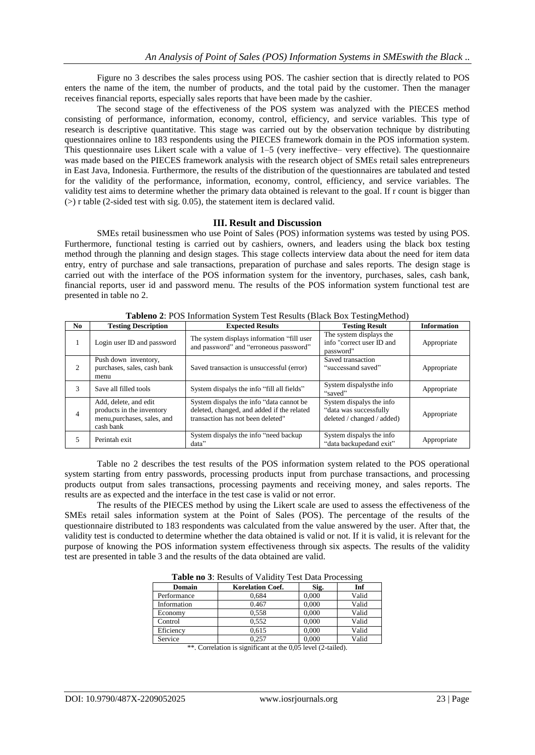Figure no 3 describes the sales process using POS. The cashier section that is directly related to POS enters the name of the item, the number of products, and the total paid by the customer. Then the manager receives financial reports, especially sales reports that have been made by the cashier.

The second stage of the effectiveness of the POS system was analyzed with the PIECES method consisting of performance, information, economy, control, efficiency, and service variables. This type of research is descriptive quantitative. This stage was carried out by the observation technique by distributing questionnaires online to 183 respondents using the PIECES framework domain in the POS information system. This questionnaire uses Likert scale with a value of 1–5 (very ineffective– very effective). The questionnaire was made based on the PIECES framework analysis with the research object of SMEs retail sales entrepreneurs in East Java, Indonesia. Furthermore, the results of the distribution of the questionnaires are tabulated and tested for the validity of the performance, information, economy, control, efficiency, and service variables. The validity test aims to determine whether the primary data obtained is relevant to the goal. If r count is bigger than  $($ >) r table (2-sided test with sig. 0.05), the statement item is declared valid.

### **III. Result and Discussion**

SMEs retail businessmen who use Point of Sales (POS) information systems was tested by using POS. Furthermore, functional testing is carried out by cashiers, owners, and leaders using the black box testing method through the planning and design stages. This stage collects interview data about the need for item data entry, entry of purchase and sale transactions, preparation of purchase and sales reports. The design stage is carried out with the interface of the POS information system for the inventory, purchases, sales, cash bank, financial reports, user id and password menu. The results of the POS information system functional test are presented in table no 2.

| No | <b>Testing Description</b>                                                                     | <b>Expected Results</b>                                                                                                     | <b>Testing Result</b>                                                            | <b>Information</b> |
|----|------------------------------------------------------------------------------------------------|-----------------------------------------------------------------------------------------------------------------------------|----------------------------------------------------------------------------------|--------------------|
|    | Login user ID and password                                                                     | The system displays information "fill user<br>and password" and "erroneous password"                                        | The system displays the<br>info "correct user ID and<br>password"                | Appropriate        |
| 2  | Push down inventory,<br>purchases, sales, cash bank<br>menu                                    | Saved transaction is unsuccessful (error)                                                                                   | Saved transaction<br>"successand saved"                                          | Appropriate        |
| 3  | Save all filled tools                                                                          | System dispalys the info "fill all fields"                                                                                  | System dispalysthe info<br>"saved"                                               | Appropriate        |
| 4  | Add, delete, and edit<br>products in the inventory<br>menu, purchases, sales, and<br>cash bank | System dispalys the info "data cannot be<br>deleted, changed, and added if the related<br>transaction has not been deleted" | System dispalys the info<br>"data was successfully<br>deleted / changed / added) | Appropriate        |
| 5. | Perintah exit                                                                                  | System dispalys the info "need backup"<br>data"                                                                             | System dispalys the info<br>"data backupedand exit"                              | Appropriate        |

**Tableno 2**: POS Information System Test Results (Black Box TestingMethod)

Table no 2 describes the test results of the POS information system related to the POS operational system starting from entry passwords, processing products input from purchase transactions, and processing products output from sales transactions, processing payments and receiving money, and sales reports. The results are as expected and the interface in the test case is valid or not error.

The results of the PIECES method by using the Likert scale are used to assess the effectiveness of the SMEs retail sales information system at the Point of Sales (POS). The percentage of the results of the questionnaire distributed to 183 respondents was calculated from the value answered by the user. After that, the validity test is conducted to determine whether the data obtained is valid or not. If it is valid, it is relevant for the purpose of knowing the POS information system effectiveness through six aspects. The results of the validity test are presented in table 3 and the results of the data obtained are valid.

| Domain           | <b>Korelation Coef.</b> | Sig.  | Inf   |  |  |  |  |
|------------------|-------------------------|-------|-------|--|--|--|--|
| Performance      | 0,684                   | 0.000 | Valid |  |  |  |  |
| Information      | 0.467                   | 0.000 | Valid |  |  |  |  |
| Economy          | 0,558                   | 0.000 | Valid |  |  |  |  |
| Control          | 0.552                   | 0.000 | Valid |  |  |  |  |
| Eficiency        | 0.615                   | 0.000 | Valid |  |  |  |  |
| Service          | 0.257                   | 0.000 | Valid |  |  |  |  |
| .<br>.<br>.<br>. |                         |       |       |  |  |  |  |

**Table no 3**: Results of Validity Test Data Processing

\*\*. Correlation is significant at the 0,05 level (2-tailed).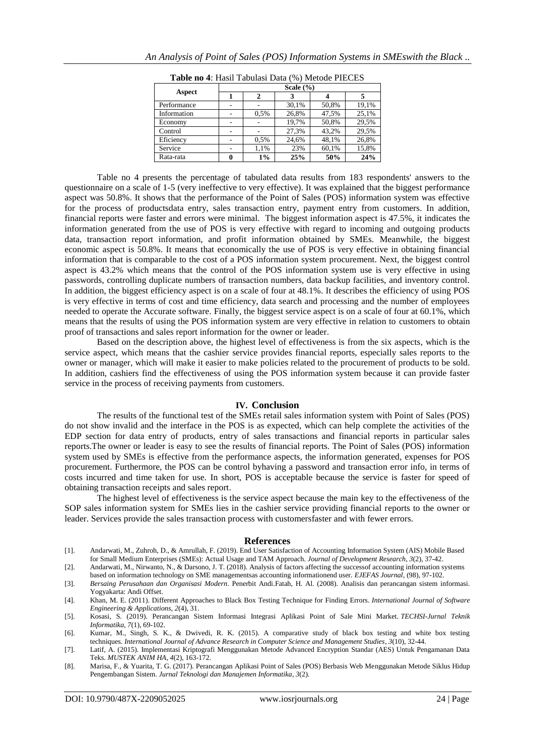|             | Scale $(\% )$ |      |       |       |       |
|-------------|---------------|------|-------|-------|-------|
| Aspect      |               | 2    |       |       |       |
| Performance |               |      | 30,1% | 50,8% | 19,1% |
| Information |               | 0.5% | 26,8% | 47,5% | 25,1% |
| Economy     |               |      | 19,7% | 50,8% | 29,5% |
| Control     |               |      | 27,3% | 43.2% | 29,5% |
| Eficiency   |               | 0,5% | 24,6% | 48,1% | 26,8% |
| Service     | ۰             | 1,1% | 23%   | 60,1% | 15,8% |
| Rata-rata   | 0             | 1%   | 25%   | 50%   | 24%   |

**Table no 4**: Hasil Tabulasi Data (%) Metode PIECES

Table no 4 presents the percentage of tabulated data results from 183 respondents' answers to the questionnaire on a scale of 1-5 (very ineffective to very effective). It was explained that the biggest performance aspect was 50.8%. It shows that the performance of the Point of Sales (POS) information system was effective for the process of productsdata entry, sales transaction entry, payment entry from customers. In addition, financial reports were faster and errors were minimal. The biggest information aspect is 47.5%, it indicates the information generated from the use of POS is very effective with regard to incoming and outgoing products data, transaction report information, and profit information obtained by SMEs. Meanwhile, the biggest economic aspect is 50.8%. It means that economically the use of POS is very effective in obtaining financial information that is comparable to the cost of a POS information system procurement. Next, the biggest control aspect is 43.2% which means that the control of the POS information system use is very effective in using passwords, controlling duplicate numbers of transaction numbers, data backup facilities, and inventory control. In addition, the biggest efficiency aspect is on a scale of four at 48.1%. It describes the efficiency of using POS is very effective in terms of cost and time efficiency, data search and processing and the number of employees needed to operate the Accurate software. Finally, the biggest service aspect is on a scale of four at 60.1%, which means that the results of using the POS information system are very effective in relation to customers to obtain proof of transactions and sales report information for the owner or leader.

Based on the description above, the highest level of effectiveness is from the six aspects, which is the service aspect, which means that the cashier service provides financial reports, especially sales reports to the owner or manager, which will make it easier to make policies related to the procurement of products to be sold. In addition, cashiers find the effectiveness of using the POS information system because it can provide faster service in the process of receiving payments from customers.

#### **IV. Conclusion**

The results of the functional test of the SMEs retail sales information system with Point of Sales (POS) do not show invalid and the interface in the POS is as expected, which can help complete the activities of the EDP section for data entry of products, entry of sales transactions and financial reports in particular sales reports.The owner or leader is easy to see the results of financial reports. The Point of Sales (POS) information system used by SMEs is effective from the performance aspects, the information generated, expenses for POS procurement. Furthermore, the POS can be control byhaving a password and transaction error info, in terms of costs incurred and time taken for use. In short, POS is acceptable because the service is faster for speed of obtaining transaction receipts and sales report.

The highest level of effectiveness is the service aspect because the main key to the effectiveness of the SOP sales information system for SMEs lies in the cashier service providing financial reports to the owner or leader. Services provide the sales transaction process with customersfaster and with fewer errors.

#### **References**

[1]. Andarwati, M., Zuhroh, D., & Amrullah, F. (2019). End User Satisfaction of Accounting Information System (AIS) Mobile Based for Small Medium Enterprises (SMEs): Actual Usage and TAM Approach. *Journal of Development Research*, *3*(2), 37-42.

[2]. Andarwati, M., Nirwanto, N., & Darsono, J. T. (2018). Analysis of factors affecting the successof accounting information systems based on information technology on SME managementsas accounting informationend user. *EJEFAS Journal*, (98), 97-102.

- [3]. *Bersaing Perusahaan dan Organisasi Modern*. Penerbit Andi.Fatah, H. Al. (2008). Analisis dan perancangan sistem informasi. Yogyakarta: Andi Offset.
- [4]. Khan, M. E. (2011). Different Approaches to Black Box Testing Technique for Finding Errors. *International Journal of Software Engineering & Applications*, *2*(4), 31.
- [5]. Kosasi, S. (2019). Perancangan Sistem Informasi Integrasi Aplikasi Point of Sale Mini Market. *TECHSI-Jurnal Teknik Informatika*, *7*(1), 69-102.
- [6]. Kumar, M., Singh, S. K., & Dwivedi, R. K. (2015). A comparative study of black box testing and white box testing techniques. *International Journal of Advance Research in Computer Science and Management Studies*, *3*(10), 32-44.
- [7]. Latif, A. (2015). Implementasi Kriptografi Menggunakan Metode Advanced Encryption Standar (AES) Untuk Pengamanan Data Teks. *MUSTEK ANIM HA*, *4*(2), 163-172.
- [8]. Marisa, F., & Yuarita, T. G. (2017). Perancangan Aplikasi Point of Sales (POS) Berbasis Web Menggunakan Metode Siklus Hidup Pengembangan Sistem. *Jurnal Teknologi dan Manajemen Informatika*, *3*(2).